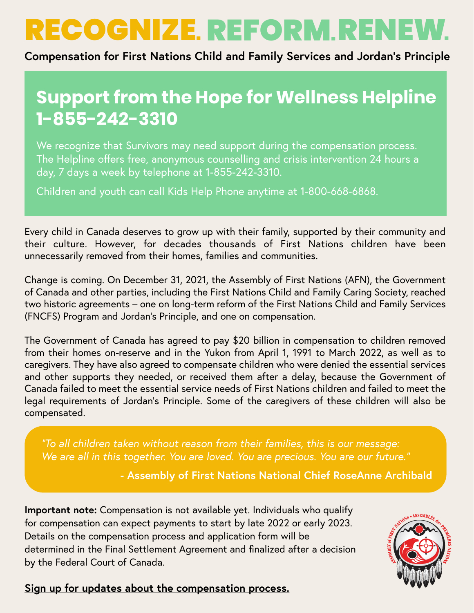# RECOGNIZE. REFORM. RENEV

**Compensation for First Nations Child and Family Services and Jordan's Principle**

# **Support from the Hope for Wellness Helpline 1-855-242-3310**

We recognize that Survivors may need support during the compensation process. The Helpline offers free, anonymous counselling and crisis intervention 24 hours a day, 7 days a week by telephone at 1-855-242-3310.

Children and youth can call Kids Help Phone anytime at 1-800-668-6868.

Every child in Canada deserves to grow up with their family, supported by their community and their culture. However, for decades thousands of First Nations children have been unnecessarily removed from their homes, families and communities.

Change is coming. On December 31, 2021, the Assembly of First Nations (AFN), the Government of Canada and other parties, including the First Nations Child and Family Caring Society, reached two historic agreements – one on long-term reform of the First Nations Child and Family Services (FNCFS) Program and Jordan's Principle, and one on compensation.

The Government of Canada has agreed to pay \$20 billion in compensation to children removed from their homes on-reserve and in the Yukon from April 1, 1991 to March 2022, as well as to caregivers. They have also agreed to compensate children who were denied the essential services and other supports they needed, or received them after a delay, because the Government of Canada failed to meet the essential service needs of First Nations children and failed to meet the legal requirements of Jordan's Principle. Some of the caregivers of these children will also be compensated.

*"To all children taken without reason from their families, this is our message: We are all in this together. You are loved. You are precious. You are our future."*

**- Assembly of First Nations National Chief RoseAnne Archibald**

**Important note:** Compensation is not available yet. Individuals who qualify for compensation can expect payments to start by late 2022 or early 2023. Details on the compensation process and application form will be determined in the Final Settlement Agreement and finalized after a decision by the Federal Court of Canada.



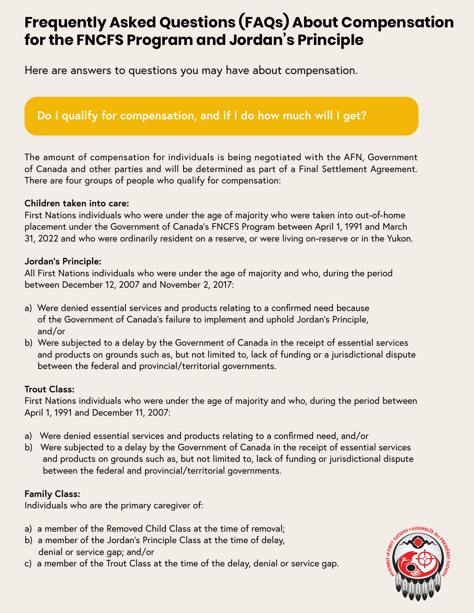# **Frequently Asked Questions (FAQs) About Compensation for the FNCFS Program and Jordan's Principle**

Here are answers to questions you may have about compensation.

# **Do I qualify for compensation, and if I do how much will I get?**

The amount of compensation for individuals is being negotiated with the AFN, Government of Canada and other parties and will be determined as part of a Final Settlement Agreement. There are four groups of people who qualify for compensation:

#### **Children taken into care:**

First Nations individuals who were under the age of majority who were taken into out-of-home placement under the Government of Canada's FNCFS Program between April 1, 1991 and March 31, 2022 and who were ordinarily resident on a reserve, or were living on-reserve or in the Yukon.

#### **Jordan's Principle:**

All First Nations individuals who were under the age of majority and who, during the period between December 12, 2007 and November 2, 2017:

- a) Were denied essential services and products relating to a confirmed need because of the Government of Canada's failure to implement and uphold Jordan's Principle, and/or
- b) Were subjected to a delay by the Government of Canada in the receipt of essential services and products on grounds such as, but not limited to, lack of funding or a jurisdictional dispute between the federal and provincial/territorial governments.

#### **Trout Class:**

First Nations individuals who were under the age of majority and who, during the period between April 1, 1991 and December 11, 2007:

- a) Were denied essential services and products relating to a confirmed need, and/or
- b) Were subjected to a delay by the Government of Canada in the receipt of essential services and products on grounds such as, but not limited to, lack of funding or jurisdictional dispute between the federal and provincial/territorial governments.

#### **Family Class:**

Individuals who are the primary caregiver of:

- a) a member of the Removed Child Class at the time of removal;
- b) a member of the Jordan's Principle Class at the time of delay, denial or service gap; and/or
- c) a member of the Trout Class at the time of the delay, denial or service gap.

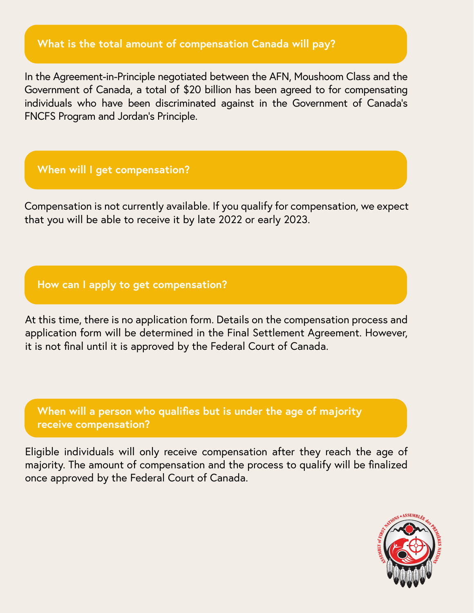# **What is the total amount of compensation Canada will pay?**

In the Agreement-in-Principle negotiated between the AFN, Moushoom Class and the Government of Canada, a total of \$20 billion has been agreed to for compensating individuals who have been discriminated against in the Government of Canada's FNCFS Program and Jordan's Principle.

### **When will I get compensation?**

Compensation is not currently available. If you qualify for compensation, we expect that you will be able to receive it by late 2022 or early 2023.

## **How can I apply to get compensation?**

At this time, there is no application form. Details on the compensation process and application form will be determined in the Final Settlement Agreement. However, it is not final until it is approved by the Federal Court of Canada.

**When will a person who qualifies but is under the age of majority receive compensation?** 

Eligible individuals will only receive compensation after they reach the age of majority. The amount of compensation and the process to qualify will be finalized once approved by the Federal Court of Canada.